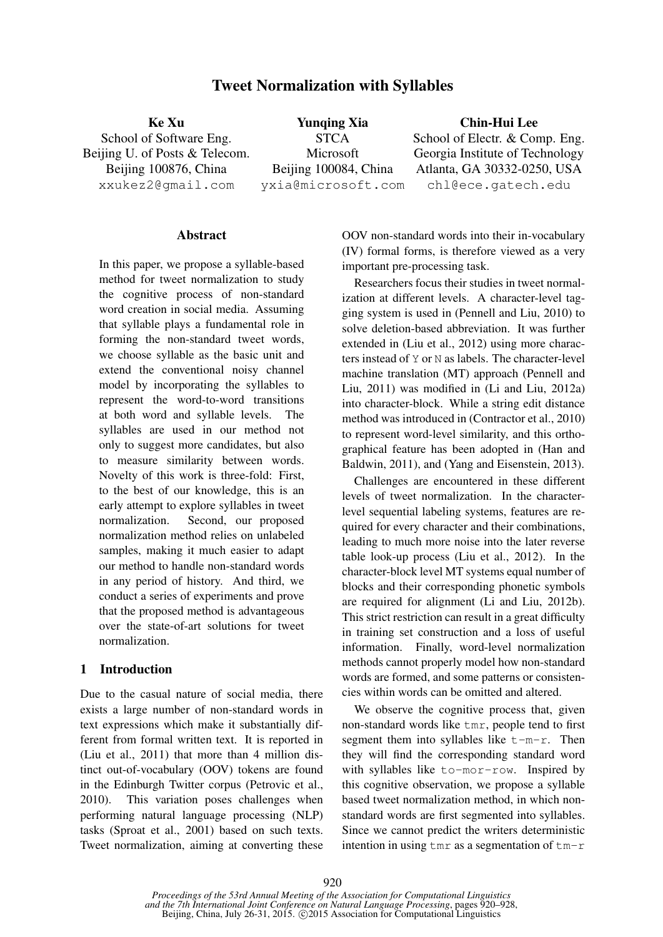# Tweet Normalization with Syllables

Ke Xu School of Software Eng. Beijing U. of Posts & Telecom. Beijing 100876, China xxukez2@gmail.com Yunqing Xia **STCA** Microsoft Beijing 100084, China yxia@microsoft.com Chin-Hui Lee School of Electr. & Comp. Eng. Georgia Institute of Technology Atlanta, GA 30332-0250, USA chl@ece.gatech.edu

#### **Abstract**

In this paper, we propose a syllable-based method for tweet normalization to study the cognitive process of non-standard word creation in social media. Assuming that syllable plays a fundamental role in forming the non-standard tweet words, we choose syllable as the basic unit and extend the conventional noisy channel model by incorporating the syllables to represent the word-to-word transitions at both word and syllable levels. The syllables are used in our method not only to suggest more candidates, but also to measure similarity between words. Novelty of this work is three-fold: First, to the best of our knowledge, this is an early attempt to explore syllables in tweet normalization. Second, our proposed normalization method relies on unlabeled samples, making it much easier to adapt our method to handle non-standard words in any period of history. And third, we conduct a series of experiments and prove that the proposed method is advantageous over the state-of-art solutions for tweet normalization.

#### 1 Introduction

Due to the casual nature of social media, there exists a large number of non-standard words in text expressions which make it substantially different from formal written text. It is reported in (Liu et al., 2011) that more than 4 million distinct out-of-vocabulary (OOV) tokens are found in the Edinburgh Twitter corpus (Petrovic et al., 2010). This variation poses challenges when performing natural language processing (NLP) tasks (Sproat et al., 2001) based on such texts. Tweet normalization, aiming at converting these OOV non-standard words into their in-vocabulary (IV) formal forms, is therefore viewed as a very important pre-processing task.

Researchers focus their studies in tweet normalization at different levels. A character-level tagging system is used in (Pennell and Liu, 2010) to solve deletion-based abbreviation. It was further extended in (Liu et al., 2012) using more characters instead of Y or N as labels. The character-level machine translation (MT) approach (Pennell and Liu, 2011) was modified in (Li and Liu, 2012a) into character-block. While a string edit distance method was introduced in (Contractor et al., 2010) to represent word-level similarity, and this orthographical feature has been adopted in (Han and Baldwin, 2011), and (Yang and Eisenstein, 2013).

Challenges are encountered in these different levels of tweet normalization. In the characterlevel sequential labeling systems, features are required for every character and their combinations, leading to much more noise into the later reverse table look-up process (Liu et al., 2012). In the character-block level MT systems equal number of blocks and their corresponding phonetic symbols are required for alignment (Li and Liu, 2012b). This strict restriction can result in a great difficulty in training set construction and a loss of useful information. Finally, word-level normalization methods cannot properly model how non-standard words are formed, and some patterns or consistencies within words can be omitted and altered.

We observe the cognitive process that, given non-standard words like tmr, people tend to first segment them into syllables like  $t-m-r$ . Then they will find the corresponding standard word with syllables like to-mor-row. Inspired by this cognitive observation, we propose a syllable based tweet normalization method, in which nonstandard words are first segmented into syllables. Since we cannot predict the writers deterministic intention in using  $\tan x$  as a segmentation of  $\tan x$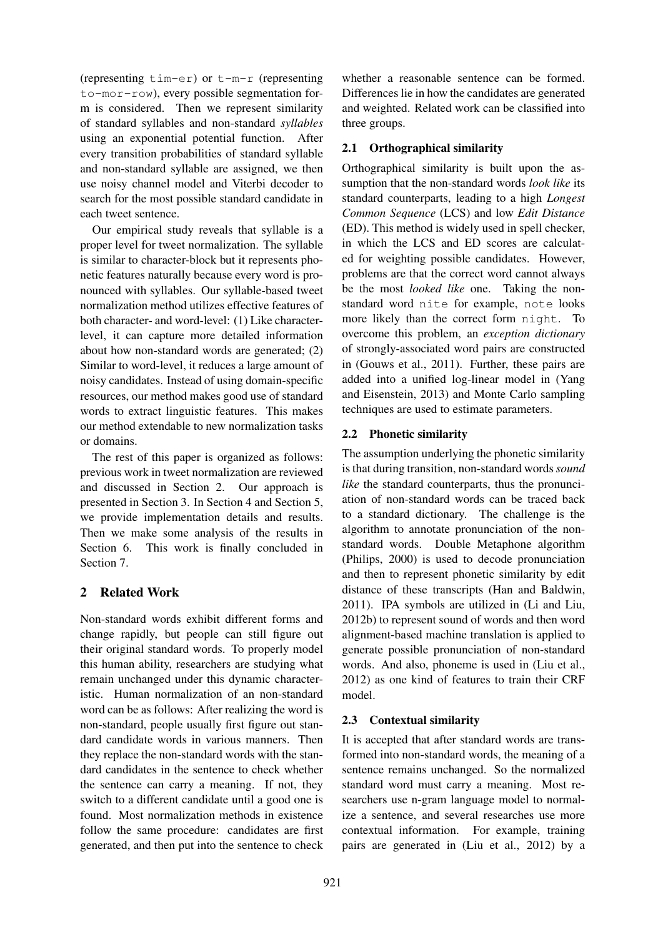(representing tim-er) or t-m-r (representing to-mor-row), every possible segmentation form is considered. Then we represent similarity of standard syllables and non-standard *syllables* using an exponential potential function. After every transition probabilities of standard syllable and non-standard syllable are assigned, we then use noisy channel model and Viterbi decoder to search for the most possible standard candidate in each tweet sentence.

Our empirical study reveals that syllable is a proper level for tweet normalization. The syllable is similar to character-block but it represents phonetic features naturally because every word is pronounced with syllables. Our syllable-based tweet normalization method utilizes effective features of both character- and word-level: (1) Like characterlevel, it can capture more detailed information about how non-standard words are generated; (2) Similar to word-level, it reduces a large amount of noisy candidates. Instead of using domain-specific resources, our method makes good use of standard words to extract linguistic features. This makes our method extendable to new normalization tasks or domains.

The rest of this paper is organized as follows: previous work in tweet normalization are reviewed and discussed in Section 2. Our approach is presented in Section 3. In Section 4 and Section 5, we provide implementation details and results. Then we make some analysis of the results in Section 6. This work is finally concluded in Section 7.

# 2 Related Work

Non-standard words exhibit different forms and change rapidly, but people can still figure out their original standard words. To properly model this human ability, researchers are studying what remain unchanged under this dynamic characteristic. Human normalization of an non-standard word can be as follows: After realizing the word is non-standard, people usually first figure out standard candidate words in various manners. Then they replace the non-standard words with the standard candidates in the sentence to check whether the sentence can carry a meaning. If not, they switch to a different candidate until a good one is found. Most normalization methods in existence follow the same procedure: candidates are first generated, and then put into the sentence to check

whether a reasonable sentence can be formed. Differences lie in how the candidates are generated and weighted. Related work can be classified into three groups.

## 2.1 Orthographical similarity

Orthographical similarity is built upon the assumption that the non-standard words *look like* its standard counterparts, leading to a high *Longest Common Sequence* (LCS) and low *Edit Distance* (ED). This method is widely used in spell checker, in which the LCS and ED scores are calculated for weighting possible candidates. However, problems are that the correct word cannot always be the most *looked like* one. Taking the nonstandard word nite for example, note looks more likely than the correct form night. To overcome this problem, an *exception dictionary* of strongly-associated word pairs are constructed in (Gouws et al., 2011). Further, these pairs are added into a unified log-linear model in (Yang and Eisenstein, 2013) and Monte Carlo sampling techniques are used to estimate parameters.

## 2.2 Phonetic similarity

The assumption underlying the phonetic similarity is that during transition, non-standard words*sound like* the standard counterparts, thus the pronunciation of non-standard words can be traced back to a standard dictionary. The challenge is the algorithm to annotate pronunciation of the nonstandard words. Double Metaphone algorithm (Philips, 2000) is used to decode pronunciation and then to represent phonetic similarity by edit distance of these transcripts (Han and Baldwin, 2011). IPA symbols are utilized in (Li and Liu, 2012b) to represent sound of words and then word alignment-based machine translation is applied to generate possible pronunciation of non-standard words. And also, phoneme is used in (Liu et al., 2012) as one kind of features to train their CRF model.

## 2.3 Contextual similarity

It is accepted that after standard words are transformed into non-standard words, the meaning of a sentence remains unchanged. So the normalized standard word must carry a meaning. Most researchers use n-gram language model to normalize a sentence, and several researches use more contextual information. For example, training pairs are generated in (Liu et al., 2012) by a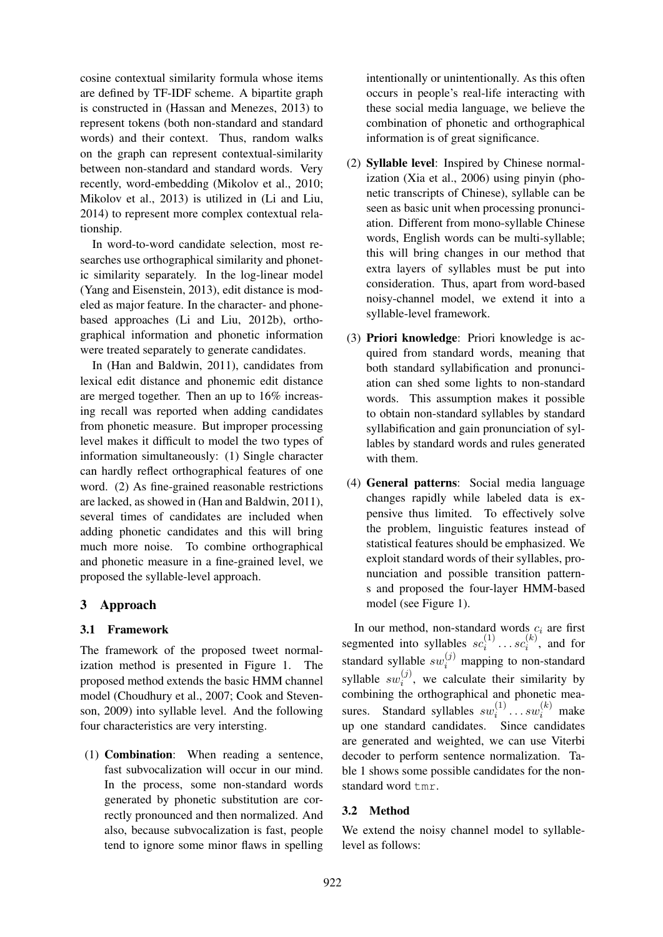cosine contextual similarity formula whose items are defined by TF-IDF scheme. A bipartite graph is constructed in (Hassan and Menezes, 2013) to represent tokens (both non-standard and standard words) and their context. Thus, random walks on the graph can represent contextual-similarity between non-standard and standard words. Very recently, word-embedding (Mikolov et al., 2010; Mikolov et al., 2013) is utilized in (Li and Liu, 2014) to represent more complex contextual relationship.

In word-to-word candidate selection, most researches use orthographical similarity and phonetic similarity separately. In the log-linear model (Yang and Eisenstein, 2013), edit distance is modeled as major feature. In the character- and phonebased approaches (Li and Liu, 2012b), orthographical information and phonetic information were treated separately to generate candidates.

In (Han and Baldwin, 2011), candidates from lexical edit distance and phonemic edit distance are merged together. Then an up to 16% increasing recall was reported when adding candidates from phonetic measure. But improper processing level makes it difficult to model the two types of information simultaneously: (1) Single character can hardly reflect orthographical features of one word. (2) As fine-grained reasonable restrictions are lacked, as showed in (Han and Baldwin, 2011), several times of candidates are included when adding phonetic candidates and this will bring much more noise. To combine orthographical and phonetic measure in a fine-grained level, we proposed the syllable-level approach.

## 3 Approach

## 3.1 Framework

The framework of the proposed tweet normalization method is presented in Figure 1. The proposed method extends the basic HMM channel model (Choudhury et al., 2007; Cook and Stevenson, 2009) into syllable level. And the following four characteristics are very intersting.

(1) Combination: When reading a sentence, fast subvocalization will occur in our mind. In the process, some non-standard words generated by phonetic substitution are correctly pronounced and then normalized. And also, because subvocalization is fast, people tend to ignore some minor flaws in spelling intentionally or unintentionally. As this often occurs in people's real-life interacting with these social media language, we believe the combination of phonetic and orthographical information is of great significance.

- (2) Syllable level: Inspired by Chinese normalization (Xia et al., 2006) using pinyin (phonetic transcripts of Chinese), syllable can be seen as basic unit when processing pronunciation. Different from mono-syllable Chinese words, English words can be multi-syllable; this will bring changes in our method that extra layers of syllables must be put into consideration. Thus, apart from word-based noisy-channel model, we extend it into a syllable-level framework.
- (3) Priori knowledge: Priori knowledge is acquired from standard words, meaning that both standard syllabification and pronunciation can shed some lights to non-standard words. This assumption makes it possible to obtain non-standard syllables by standard syllabification and gain pronunciation of syllables by standard words and rules generated with them.
- (4) General patterns: Social media language changes rapidly while labeled data is expensive thus limited. To effectively solve the problem, linguistic features instead of statistical features should be emphasized. We exploit standard words of their syllables, pronunciation and possible transition patterns and proposed the four-layer HMM-based model (see Figure 1).

In our method, non-standard words  $c_i$  are first segmented into syllables  $sc_i^{(1)}$  $s_i^{(1)} \dots s c_i^{(k)}$  $i_i^{(\kappa)}$ , and for standard syllable  $sw_i^{(j)}$  mapping to non-standard syllable  $sw_i^{(j)}$ , we calculate their similarity by i combining the orthographical and phonetic measures. Standard syllables  $sw_i^{(1)}$  $\mathbf{w}_i^{(1)} \dots s \mathbf{w}_i^{(k)}$  make up one standard candidates. Since candidates are generated and weighted, we can use Viterbi decoder to perform sentence normalization. Table 1 shows some possible candidates for the nonstandard word tmr.

## 3.2 Method

We extend the noisy channel model to syllablelevel as follows: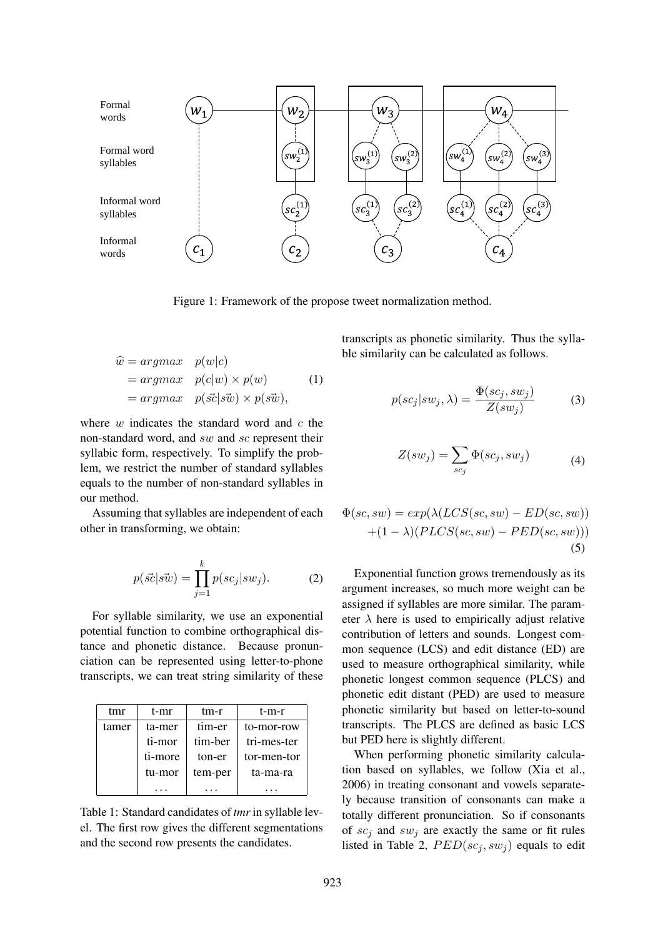

Figure 1: Framework of the propose tweet normalization method.

$$
\hat{w} = \underset{v}{argmax} \quad p(w|c) \n= \underset{v}{argmax} \quad p(c|w) \times p(w) \n= \underset{v}{argmax} \quad p(\vec{s}c|\vec{sw}) \times p(\vec{sw}),
$$
\n(1)

where  $w$  indicates the standard word and  $c$  the non-standard word, and sw and sc represent their syllabic form, respectively. To simplify the problem, we restrict the number of standard syllables equals to the number of non-standard syllables in our method.

Assuming that syllables are independent of each other in transforming, we obtain:

$$
p(\vec{sc}|s\vec{w}) = \prod_{j=1}^{k} p(se_j|sw_j).
$$
 (2)

For syllable similarity, we use an exponential potential function to combine orthographical distance and phonetic distance. Because pronunciation can be represented using letter-to-phone transcripts, we can treat string similarity of these

| tmr   | t-mr    | tm-r    | t-m-r       |  |
|-------|---------|---------|-------------|--|
| tamer | ta-mer  | tim-er  | to-mor-row  |  |
|       | ti-mor  | tim-ber | tri-mes-ter |  |
|       | ti-more | ton-er  | tor-men-tor |  |
|       | tu-mor  | tem-per | ta-ma-ra    |  |
|       |         |         |             |  |

Table 1: Standard candidates of *tmr*in syllable level. The first row gives the different segmentations and the second row presents the candidates.

transcripts as phonetic similarity. Thus the syllable similarity can be calculated as follows.

$$
p(sc_j|sw_j,\lambda) = \frac{\Phi(sc_j, sw_j)}{Z(sw_j)}
$$
(3)

$$
Z(sw_j) = \sum_{sc_j} \Phi(sc_j, sw_j)
$$
 (4)

$$
\Phi(se, sw) = exp(\lambda(LCS(se, sw) - ED(se, sw)) \n+ (1 - \lambda)(PLCS(se, sw) - PED(se, sw))
$$
\n(5)

Exponential function grows tremendously as its argument increases, so much more weight can be assigned if syllables are more similar. The parameter  $\lambda$  here is used to empirically adjust relative contribution of letters and sounds. Longest common sequence (LCS) and edit distance (ED) are used to measure orthographical similarity, while phonetic longest common sequence (PLCS) and phonetic edit distant (PED) are used to measure phonetic similarity but based on letter-to-sound transcripts. The PLCS are defined as basic LCS but PED here is slightly different.

When performing phonetic similarity calculation based on syllables, we follow (Xia et al., 2006) in treating consonant and vowels separately because transition of consonants can make a totally different pronunciation. So if consonants of  $sc_j$  and  $sw_j$  are exactly the same or fit rules listed in Table 2,  $PED(sc_i, sw_i)$  equals to edit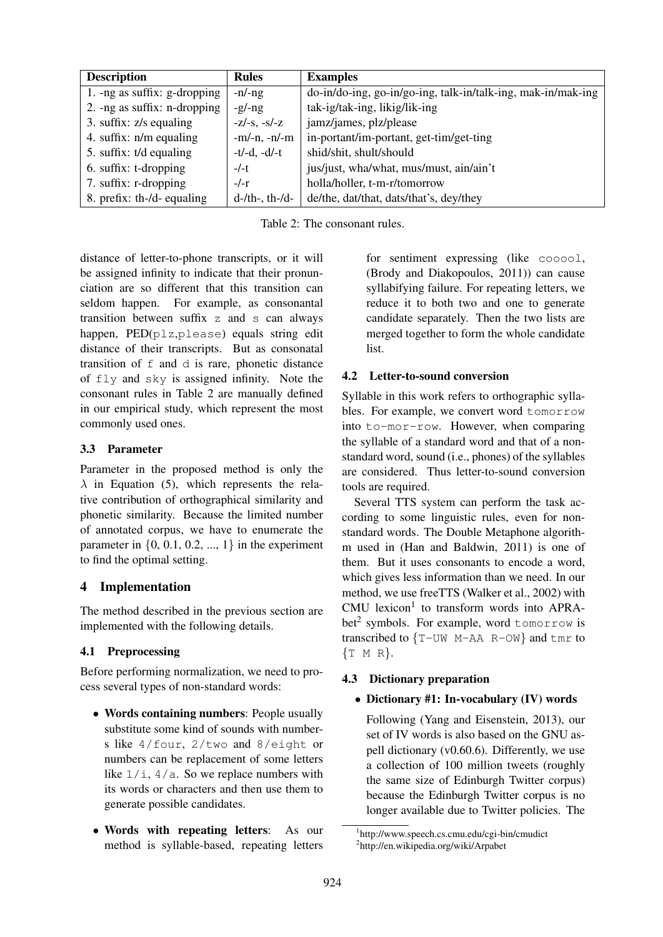| <b>Description</b>              | <b>Rules</b>          | <b>Examples</b>                                              |  |
|---------------------------------|-----------------------|--------------------------------------------------------------|--|
| 1. -ng as suffix: $g$ -dropping | $-n/-ng$              | do-in/do-ing, go-in/go-ing, talk-in/talk-ing, mak-in/mak-ing |  |
| 2. -ng as suffix: $n$ -dropping | $-g/\neg g$           | tak-ig/tak-ing, likig/lik-ing                                |  |
| 3. suffix: $z/s$ equaling       | $-z/-s$ , $-s/-z$     | jamz/james, plz/please                                       |  |
| 4. suffix: n/m equaling         | $-m/-n, -n/-m$        | in-portant/im-portant, get-tim/get-ting                      |  |
| 5. suffix: t/d equaling         | $-t/-d, -d/-t$        | shid/shit, shult/should                                      |  |
| 6. suffix: t-dropping           | $-/-t$                | jus/just, wha/what, mus/must, ain/ain't                      |  |
| 7. suffix: r-dropping           | $-/-r$                | holla/holler, t-m-r/tomorrow                                 |  |
| 8. prefix: th-/d- equaling      | $d$ -/th-, th-/ $d$ - | de/the, dat/that, dats/that's, dey/they                      |  |

Table 2: The consonant rules.

distance of letter-to-phone transcripts, or it will be assigned infinity to indicate that their pronunciation are so different that this transition can seldom happen. For example, as consonantal transition between suffix z and s can always happen, PED(plz,please) equals string edit distance of their transcripts. But as consonatal transition of  $f$  and  $d$  is rare, phonetic distance of fly and sky is assigned infinity. Note the consonant rules in Table 2 are manually defined in our empirical study, which represent the most commonly used ones.

## 3.3 Parameter

Parameter in the proposed method is only the  $\lambda$  in Equation (5), which represents the relative contribution of orthographical similarity and phonetic similarity. Because the limited number of annotated corpus, we have to enumerate the parameter in  $\{0, 0.1, 0.2, ..., 1\}$  in the experiment to find the optimal setting.

# 4 Implementation

The method described in the previous section are implemented with the following details.

# 4.1 Preprocessing

Before performing normalization, we need to process several types of non-standard words:

- Words containing numbers: People usually substitute some kind of sounds with numbers like 4/four, 2/two and 8/eight or numbers can be replacement of some letters like  $1/i$ ,  $4/a$ . So we replace numbers with its words or characters and then use them to generate possible candidates.
- Words with repeating letters: As our method is syllable-based, repeating letters

for sentiment expressing (like cooool, (Brody and Diakopoulos, 2011)) can cause syllabifying failure. For repeating letters, we reduce it to both two and one to generate candidate separately. Then the two lists are merged together to form the whole candidate list.

# 4.2 Letter-to-sound conversion

Syllable in this work refers to orthographic syllables. For example, we convert word tomorrow into to-mor-row. However, when comparing the syllable of a standard word and that of a nonstandard word, sound (i.e., phones) of the syllables are considered. Thus letter-to-sound conversion tools are required.

Several TTS system can perform the task according to some linguistic rules, even for nonstandard words. The Double Metaphone algorithm used in (Han and Baldwin, 2011) is one of them. But it uses consonants to encode a word, which gives less information than we need. In our method, we use freeTTS (Walker et al., 2002) with CMU lexicon<sup>1</sup> to transform words into APRAbet<sup>2</sup> symbols. For example, word tomorrow is transcribed to  ${T-WM A A R-OW}$  and tmr to {T M R}.

# 4.3 Dictionary preparation

## • Dictionary #1: In-vocabulary (IV) words

Following (Yang and Eisenstein, 2013), our set of IV words is also based on the GNU aspell dictionary (v0.60.6). Differently, we use a collection of 100 million tweets (roughly the same size of Edinburgh Twitter corpus) because the Edinburgh Twitter corpus is no longer available due to Twitter policies. The

<sup>1</sup> http://www.speech.cs.cmu.edu/cgi-bin/cmudict 2 http://en.wikipedia.org/wiki/Arpabet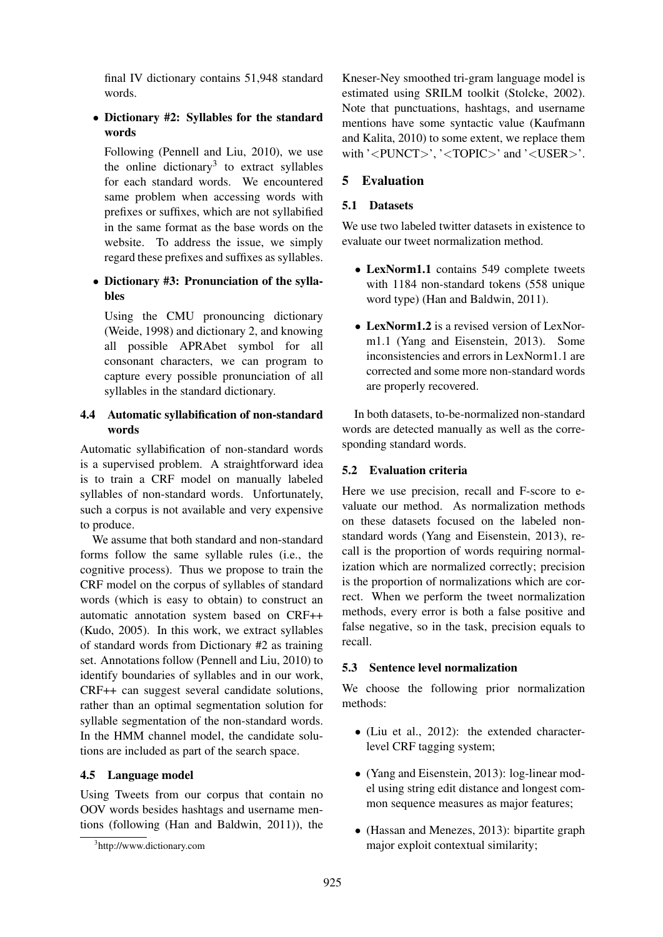final IV dictionary contains 51,948 standard words.

• Dictionary #2: Syllables for the standard words

Following (Pennell and Liu, 2010), we use the online dictionary<sup>3</sup> to extract syllables for each standard words. We encountered same problem when accessing words with prefixes or suffixes, which are not syllabified in the same format as the base words on the website. To address the issue, we simply regard these prefixes and suffixes as syllables.

#### • Dictionary #3: Pronunciation of the syllables

Using the CMU pronouncing dictionary (Weide, 1998) and dictionary 2, and knowing all possible APRAbet symbol for all consonant characters, we can program to capture every possible pronunciation of all syllables in the standard dictionary.

## 4.4 Automatic syllabification of non-standard words

Automatic syllabification of non-standard words is a supervised problem. A straightforward idea is to train a CRF model on manually labeled syllables of non-standard words. Unfortunately, such a corpus is not available and very expensive to produce.

We assume that both standard and non-standard forms follow the same syllable rules (i.e., the cognitive process). Thus we propose to train the CRF model on the corpus of syllables of standard words (which is easy to obtain) to construct an automatic annotation system based on CRF++ (Kudo, 2005). In this work, we extract syllables of standard words from Dictionary #2 as training set. Annotations follow (Pennell and Liu, 2010) to identify boundaries of syllables and in our work, CRF++ can suggest several candidate solutions, rather than an optimal segmentation solution for syllable segmentation of the non-standard words. In the HMM channel model, the candidate solutions are included as part of the search space.

#### 4.5 Language model

Using Tweets from our corpus that contain no OOV words besides hashtags and username mentions (following (Han and Baldwin, 2011)), the

Kneser-Ney smoothed tri-gram language model is estimated using SRILM toolkit (Stolcke, 2002). Note that punctuations, hashtags, and username mentions have some syntactic value (Kaufmann and Kalita, 2010) to some extent, we replace them with '<PUNCT>', '<TOPIC>' and '<USER>'.

## 5 Evaluation

#### 5.1 Datasets

We use two labeled twitter datasets in existence to evaluate our tweet normalization method.

- LexNorm1.1 contains 549 complete tweets with 1184 non-standard tokens (558 unique word type) (Han and Baldwin, 2011).
- LexNorm1.2 is a revised version of LexNorm1.1 (Yang and Eisenstein, 2013). Some inconsistencies and errors in LexNorm1.1 are corrected and some more non-standard words are properly recovered.

In both datasets, to-be-normalized non-standard words are detected manually as well as the corresponding standard words.

#### 5.2 Evaluation criteria

Here we use precision, recall and F-score to evaluate our method. As normalization methods on these datasets focused on the labeled nonstandard words (Yang and Eisenstein, 2013), recall is the proportion of words requiring normalization which are normalized correctly; precision is the proportion of normalizations which are correct. When we perform the tweet normalization methods, every error is both a false positive and false negative, so in the task, precision equals to recall.

#### 5.3 Sentence level normalization

We choose the following prior normalization methods:

- (Liu et al., 2012): the extended characterlevel CRF tagging system;
- (Yang and Eisenstein, 2013): log-linear model using string edit distance and longest common sequence measures as major features;
- (Hassan and Menezes, 2013): bipartite graph major exploit contextual similarity;

<sup>3</sup> http://www.dictionary.com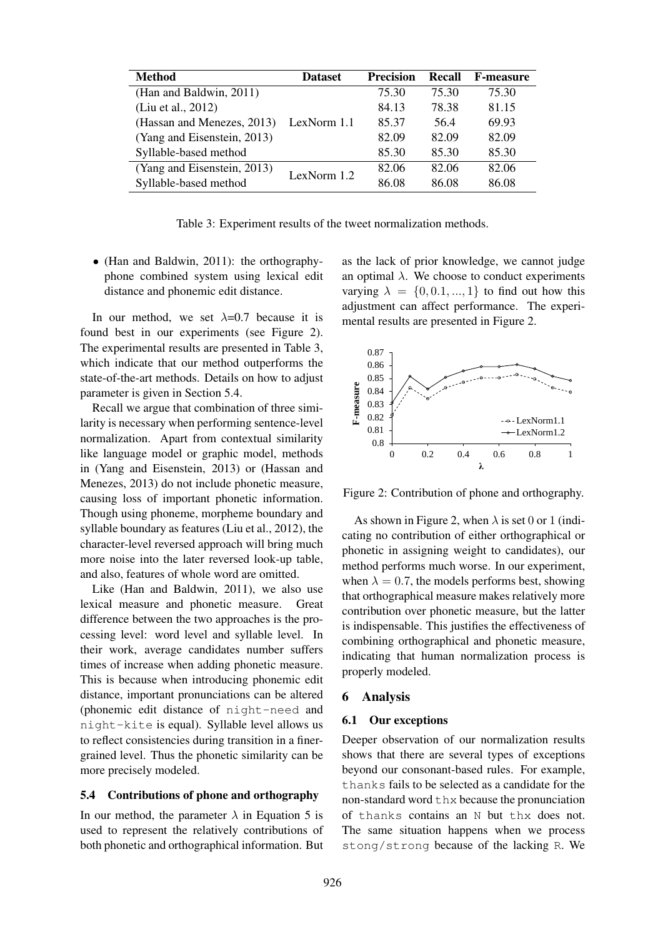| <b>Method</b>               | <b>Dataset</b> | <b>Precision</b> | Recall | <b>F-measure</b> |
|-----------------------------|----------------|------------------|--------|------------------|
| (Han and Baldwin, 2011)     | LexNorm 1.1    | 75.30            | 75.30  | 75.30            |
| (Liu et al., 2012)          |                | 84.13            | 78.38  | 81.15            |
| (Hassan and Menezes, 2013)  |                | 85.37            | 56.4   | 69.93            |
| (Yang and Eisenstein, 2013) |                | 82.09            | 82.09  | 82.09            |
| Syllable-based method       |                | 85.30            | 85.30  | 85.30            |
| (Yang and Eisenstein, 2013) | LexNorm $1.2$  | 82.06            | 82.06  | 82.06            |
| Syllable-based method       |                | 86.08            | 86.08  | 86.08            |

Table 3: Experiment results of the tweet normalization methods.

• (Han and Baldwin, 2011): the orthographyphone combined system using lexical edit distance and phonemic edit distance.

In our method, we set  $\lambda=0.7$  because it is found best in our experiments (see Figure 2). The experimental results are presented in Table 3, which indicate that our method outperforms the state-of-the-art methods. Details on how to adjust parameter is given in Section 5.4.

Recall we argue that combination of three similarity is necessary when performing sentence-level normalization. Apart from contextual similarity like language model or graphic model, methods in (Yang and Eisenstein, 2013) or (Hassan and Menezes, 2013) do not include phonetic measure, causing loss of important phonetic information. Though using phoneme, morpheme boundary and syllable boundary as features (Liu et al., 2012), the character-level reversed approach will bring much more noise into the later reversed look-up table, and also, features of whole word are omitted.

Like (Han and Baldwin, 2011), we also use lexical measure and phonetic measure. Great difference between the two approaches is the processing level: word level and syllable level. In their work, average candidates number suffers times of increase when adding phonetic measure. This is because when introducing phonemic edit distance, important pronunciations can be altered (phonemic edit distance of night-need and night-kite is equal). Syllable level allows us to reflect consistencies during transition in a finergrained level. Thus the phonetic similarity can be more precisely modeled.

#### 5.4 Contributions of phone and orthography

In our method, the parameter  $\lambda$  in Equation 5 is used to represent the relatively contributions of both phonetic and orthographical information. But as the lack of prior knowledge, we cannot judge an optimal  $\lambda$ . We choose to conduct experiments varying  $\lambda = \{0, 0.1, ..., 1\}$  to find out how this adjustment can affect performance. The experimental results are presented in Figure 2.



Figure 2: Contribution of phone and orthography.

As shown in Figure 2, when  $\lambda$  is set 0 or 1 (indicating no contribution of either orthographical or phonetic in assigning weight to candidates), our method performs much worse. In our experiment, when  $\lambda = 0.7$ , the models performs best, showing that orthographical measure makes relatively more contribution over phonetic measure, but the latter is indispensable. This justifies the effectiveness of combining orthographical and phonetic measure, indicating that human normalization process is properly modeled.

#### 6 Analysis

#### 6.1 Our exceptions

Deeper observation of our normalization results shows that there are several types of exceptions beyond our consonant-based rules. For example, thanks fails to be selected as a candidate for the non-standard word thx because the pronunciation of thanks contains an N but thx does not. The same situation happens when we process stong/strong because of the lacking R. We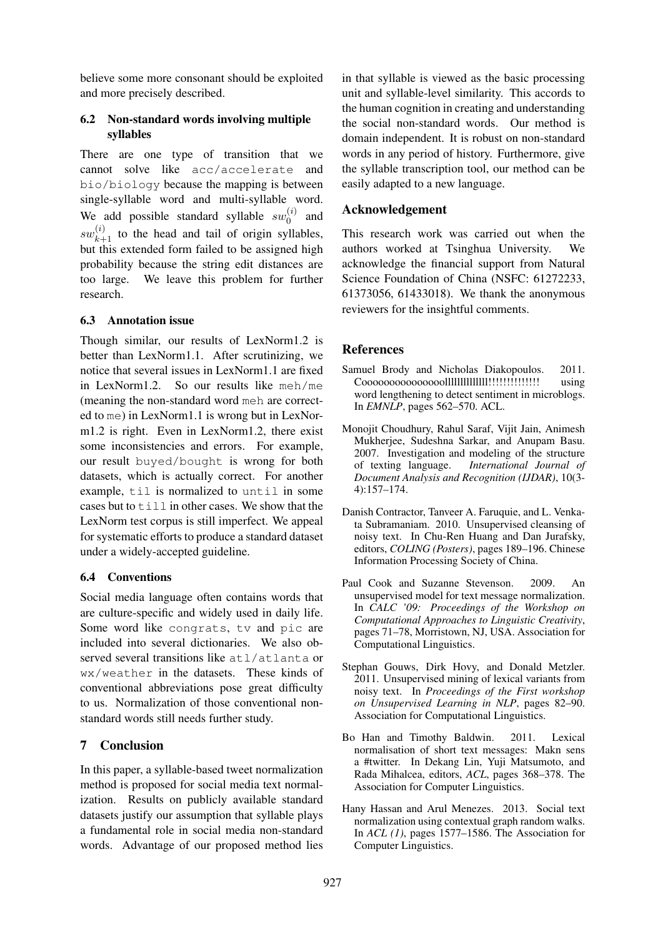believe some more consonant should be exploited and more precisely described.

#### 6.2 Non-standard words involving multiple syllables

There are one type of transition that we cannot solve like acc/accelerate and bio/biology because the mapping is between single-syllable word and multi-syllable word. We add possible standard syllable  $sw_0^{(i)}$  $\int_0^{(\ell)}$  and  $sw_{k+1}^{(i)}$  to the head and tail of origin syllables, but this extended form failed to be assigned high probability because the string edit distances are too large. We leave this problem for further research.

#### 6.3 Annotation issue

Though similar, our results of LexNorm1.2 is better than LexNorm1.1. After scrutinizing, we notice that several issues in LexNorm1.1 are fixed in LexNorm1.2. So our results like meh/me (meaning the non-standard word meh are corrected to me) in LexNorm1.1 is wrong but in LexNorm1.2 is right. Even in LexNorm1.2, there exist some inconsistencies and errors. For example, our result buyed/bought is wrong for both datasets, which is actually correct. For another example, til is normalized to until in some cases but to  $\text{til1}$  in other cases. We show that the LexNorm test corpus is still imperfect. We appeal for systematic efforts to produce a standard dataset under a widely-accepted guideline.

## 6.4 Conventions

Social media language often contains words that are culture-specific and widely used in daily life. Some word like congrats, tv and pic are included into several dictionaries. We also observed several transitions like atl/atlanta or wx/weather in the datasets. These kinds of conventional abbreviations pose great difficulty to us. Normalization of those conventional nonstandard words still needs further study.

# 7 Conclusion

In this paper, a syllable-based tweet normalization method is proposed for social media text normalization. Results on publicly available standard datasets justify our assumption that syllable plays a fundamental role in social media non-standard words. Advantage of our proposed method lies in that syllable is viewed as the basic processing unit and syllable-level similarity. This accords to the human cognition in creating and understanding the social non-standard words. Our method is domain independent. It is robust on non-standard words in any period of history. Furthermore, give the syllable transcription tool, our method can be easily adapted to a new language.

## Acknowledgement

This research work was carried out when the authors worked at Tsinghua University. We acknowledge the financial support from Natural Science Foundation of China (NSFC: 61272233, 61373056, 61433018). We thank the anonymous reviewers for the insightful comments.

## **References**

- Samuel Brody and Nicholas Diakopoulos. 2011. Cooooooooooooooollllllllllllll!!!!!!!!!!!!!! using word lengthening to detect sentiment in microblogs. In *EMNLP*, pages 562–570. ACL.
- Monojit Choudhury, Rahul Saraf, Vijit Jain, Animesh Mukherjee, Sudeshna Sarkar, and Anupam Basu. 2007. Investigation and modeling of the structure of texting language. *International Journal of Document Analysis and Recognition (IJDAR)*, 10(3- 4):157–174.
- Danish Contractor, Tanveer A. Faruquie, and L. Venkata Subramaniam. 2010. Unsupervised cleansing of noisy text. In Chu-Ren Huang and Dan Jurafsky, editors, *COLING (Posters)*, pages 189–196. Chinese Information Processing Society of China.
- Paul Cook and Suzanne Stevenson. 2009. An unsupervised model for text message normalization. In *CALC '09: Proceedings of the Workshop on Computational Approaches to Linguistic Creativity*, pages 71–78, Morristown, NJ, USA. Association for Computational Linguistics.
- Stephan Gouws, Dirk Hovy, and Donald Metzler. 2011. Unsupervised mining of lexical variants from noisy text. In *Proceedings of the First workshop on Unsupervised Learning in NLP*, pages 82–90. Association for Computational Linguistics.
- Bo Han and Timothy Baldwin. 2011. Lexical normalisation of short text messages: Makn sens a #twitter. In Dekang Lin, Yuji Matsumoto, and Rada Mihalcea, editors, *ACL*, pages 368–378. The Association for Computer Linguistics.
- Hany Hassan and Arul Menezes. 2013. Social text normalization using contextual graph random walks. In *ACL (1)*, pages 1577–1586. The Association for Computer Linguistics.